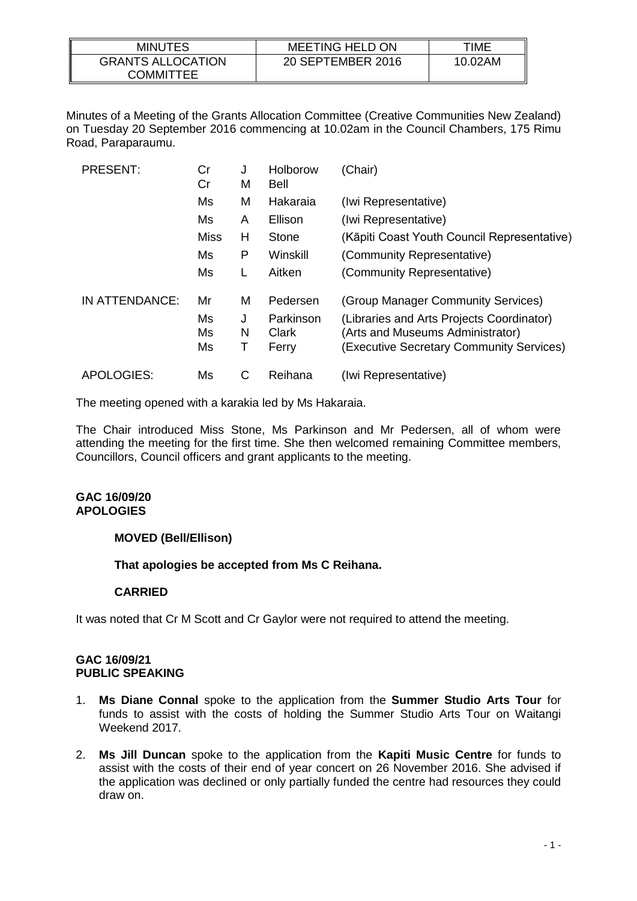| <b>MINUTES</b>                               | <b>MEETING HELD ON</b> | TIME    |
|----------------------------------------------|------------------------|---------|
| <b>GRANTS ALLOCATION</b><br><b>COMMITTEE</b> | 20 SEPTEMBER 2016      | 10.02AM |

Minutes of a Meeting of the Grants Allocation Committee (Creative Communities New Zealand) on Tuesday 20 September 2016 commencing at 10.02am in the Council Chambers, 175 Rimu Road, Paraparaumu.

| <b>PRESENT:</b> | Cr<br>Cr | J<br>м | Holborow<br>Bell | (Chair)                                     |
|-----------------|----------|--------|------------------|---------------------------------------------|
|                 | Ms       | М      | Hakaraia         | (Iwi Representative)                        |
|                 | Ms       | A      | Ellison          | (Iwi Representative)                        |
|                 | Miss     | н      | Stone            | (Kāpiti Coast Youth Council Representative) |
|                 | Ms       | P      | Winskill         | (Community Representative)                  |
|                 | Ms       |        | Aitken           | (Community Representative)                  |
| IN ATTENDANCE:  | Mr       | M      | Pedersen         | (Group Manager Community Services)          |
|                 | Ms       | J      | Parkinson        | (Libraries and Arts Projects Coordinator)   |
|                 | Ms       | N      | Clark            | (Arts and Museums Administrator)            |
|                 | Ms       | Т      | Ferry            | (Executive Secretary Community Services)    |
| APOLOGIES:      | Ms       | С      | Reihana          | (Iwi Representative)                        |

The meeting opened with a karakia led by Ms Hakaraia.

The Chair introduced Miss Stone, Ms Parkinson and Mr Pedersen, all of whom were attending the meeting for the first time. She then welcomed remaining Committee members, Councillors, Council officers and grant applicants to the meeting.

### **GAC 16/09/20 APOLOGIES**

# **MOVED (Bell/Ellison)**

**That apologies be accepted from Ms C Reihana.** 

# **CARRIED**

It was noted that Cr M Scott and Cr Gaylor were not required to attend the meeting.

### **GAC 16/09/21 PUBLIC SPEAKING**

- 1. **Ms Diane Connal** spoke to the application from the **Summer Studio Arts Tour** for funds to assist with the costs of holding the Summer Studio Arts Tour on Waitangi Weekend 2017.
- 2. **Ms Jill Duncan** spoke to the application from the **Kapiti Music Centre** for funds to assist with the costs of their end of year concert on 26 November 2016. She advised if the application was declined or only partially funded the centre had resources they could draw on.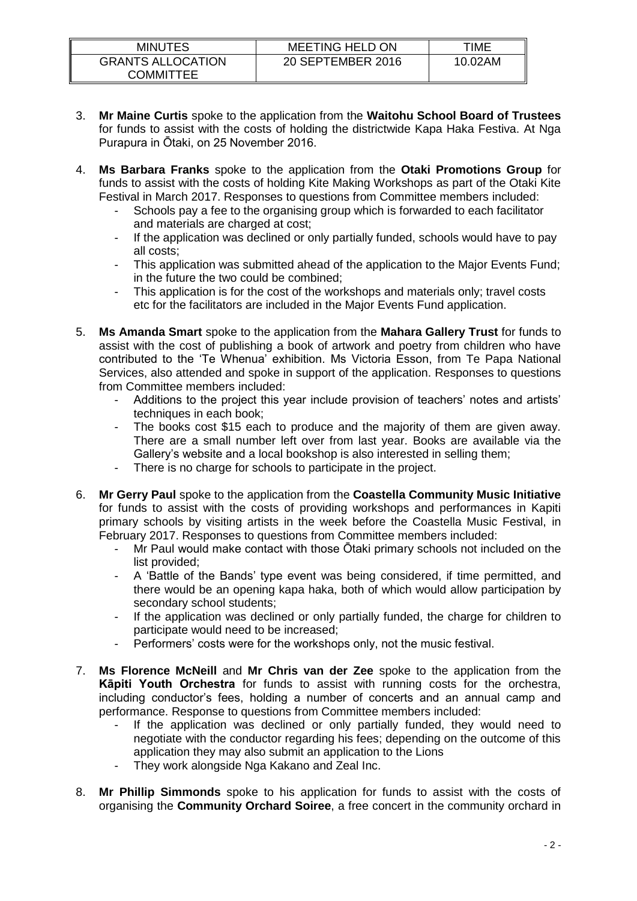| <b>MINUTES</b>                        | <b>MEETING HELD ON</b> | TIME    |
|---------------------------------------|------------------------|---------|
| <b>GRANTS ALLOCATION</b><br>COMMITTEE | 20 SEPTEMBER 2016      | 10.02AM |

- 3. **Mr Maine Curtis** spoke to the application from the **Waitohu School Board of Trustees** for funds to assist with the costs of holding the districtwide Kapa Haka Festiva. At Nga Purapura in Ōtaki, on 25 November 2016.
- 4. **Ms Barbara Franks** spoke to the application from the **Otaki Promotions Group** for funds to assist with the costs of holding Kite Making Workshops as part of the Otaki Kite Festival in March 2017. Responses to questions from Committee members included:
	- Schools pay a fee to the organising group which is forwarded to each facilitator and materials are charged at cost;
	- If the application was declined or only partially funded, schools would have to pay all costs;
	- This application was submitted ahead of the application to the Major Events Fund; in the future the two could be combined;
	- This application is for the cost of the workshops and materials only; travel costs etc for the facilitators are included in the Major Events Fund application.
- 5. **Ms Amanda Smart** spoke to the application from the **Mahara Gallery Trust** for funds to assist with the cost of publishing a book of artwork and poetry from children who have contributed to the 'Te Whenua' exhibition. Ms Victoria Esson, from Te Papa National Services, also attended and spoke in support of the application. Responses to questions from Committee members included:
	- Additions to the project this year include provision of teachers' notes and artists' techniques in each book;
	- The books cost \$15 each to produce and the majority of them are given away. There are a small number left over from last year. Books are available via the Gallery's website and a local bookshop is also interested in selling them;
	- There is no charge for schools to participate in the project.
- 6. **Mr Gerry Paul** spoke to the application from the **Coastella Community Music Initiative** for funds to assist with the costs of providing workshops and performances in Kapiti primary schools by visiting artists in the week before the Coastella Music Festival, in February 2017. Responses to questions from Committee members included:
	- Mr Paul would make contact with those Ōtaki primary schools not included on the list provided;
	- A 'Battle of the Bands' type event was being considered, if time permitted, and there would be an opening kapa haka, both of which would allow participation by secondary school students;
	- If the application was declined or only partially funded, the charge for children to participate would need to be increased;
	- Performers' costs were for the workshops only, not the music festival.
- 7. **Ms Florence McNeill** and **Mr Chris van der Zee** spoke to the application from the **Kāpiti Youth Orchestra** for funds to assist with running costs for the orchestra, including conductor's fees, holding a number of concerts and an annual camp and performance. Response to questions from Committee members included:
	- If the application was declined or only partially funded, they would need to negotiate with the conductor regarding his fees; depending on the outcome of this application they may also submit an application to the Lions
	- They work alongside Nga Kakano and Zeal Inc.
- 8. **Mr Phillip Simmonds** spoke to his application for funds to assist with the costs of organising the **Community Orchard Soiree**, a free concert in the community orchard in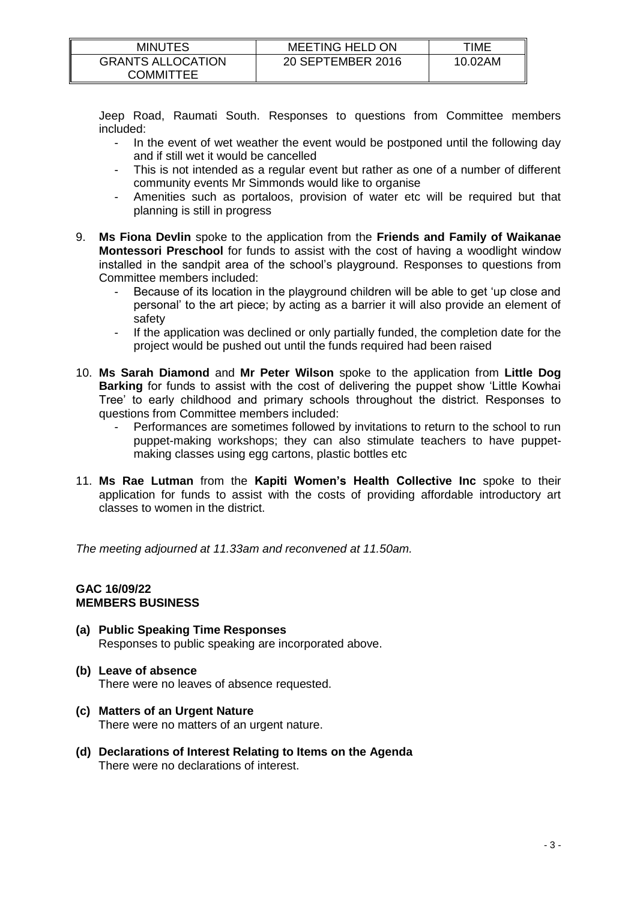| <b>MINUTES</b>                        | <b>MEETING HELD ON</b> | TIME    |
|---------------------------------------|------------------------|---------|
| <b>GRANTS ALLOCATION</b><br>COMMITTEE | 20 SEPTEMBER 2016      | 10.02AM |

Jeep Road, Raumati South. Responses to questions from Committee members included:

- In the event of wet weather the event would be postponed until the following day and if still wet it would be cancelled
- This is not intended as a regular event but rather as one of a number of different community events Mr Simmonds would like to organise
- Amenities such as portaloos, provision of water etc will be required but that planning is still in progress
- 9. **Ms Fiona Devlin** spoke to the application from the **Friends and Family of Waikanae Montessori Preschool** for funds to assist with the cost of having a woodlight window installed in the sandpit area of the school's playground. Responses to questions from Committee members included:
	- Because of its location in the playground children will be able to get 'up close and personal' to the art piece; by acting as a barrier it will also provide an element of safety
	- If the application was declined or only partially funded, the completion date for the project would be pushed out until the funds required had been raised
- 10. **Ms Sarah Diamond** and **Mr Peter Wilson** spoke to the application from **Little Dog Barking** for funds to assist with the cost of delivering the puppet show 'Little Kowhai Tree' to early childhood and primary schools throughout the district. Responses to questions from Committee members included:
	- Performances are sometimes followed by invitations to return to the school to run puppet-making workshops; they can also stimulate teachers to have puppetmaking classes using egg cartons, plastic bottles etc
- 11. **Ms Rae Lutman** from the **Kapiti Women's Health Collective Inc** spoke to their application for funds to assist with the costs of providing affordable introductory art classes to women in the district.

*The meeting adjourned at 11.33am and reconvened at 11.50am.*

### **GAC 16/09/22 MEMBERS BUSINESS**

**(a) Public Speaking Time Responses** Responses to public speaking are incorporated above.

# **(b) Leave of absence** There were no leaves of absence requested.

- **(c) Matters of an Urgent Nature** There were no matters of an urgent nature.
- **(d) Declarations of Interest Relating to Items on the Agenda** There were no declarations of interest.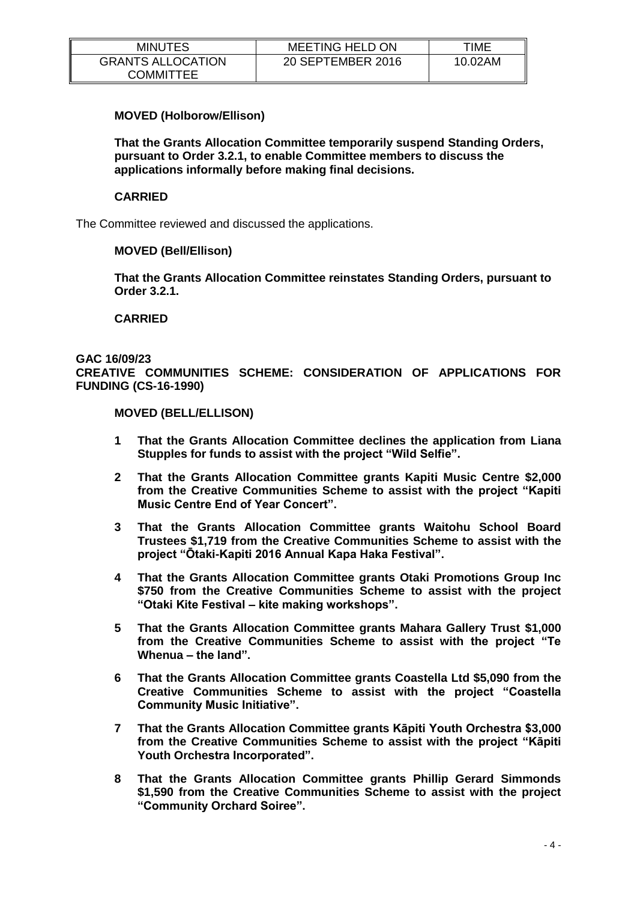| <b>MINUTES</b>                               | <b>MEETING HELD ON</b> | TIME    |
|----------------------------------------------|------------------------|---------|
| <b>GRANTS ALLOCATION</b><br><b>COMMITTEE</b> | 20 SEPTEMBER 2016      | 10.02AM |

# **MOVED (Holborow/Ellison)**

**That the Grants Allocation Committee temporarily suspend Standing Orders, pursuant to Order 3.2.1, to enable Committee members to discuss the applications informally before making final decisions.**

### **CARRIED**

The Committee reviewed and discussed the applications.

#### **MOVED (Bell/Ellison)**

**That the Grants Allocation Committee reinstates Standing Orders, pursuant to Order 3.2.1.**

#### **CARRIED**

### **GAC 16/09/23 CREATIVE COMMUNITIES SCHEME: CONSIDERATION OF APPLICATIONS FOR FUNDING (CS-16-1990)**

#### **MOVED (BELL/ELLISON)**

- **1 That the Grants Allocation Committee declines the application from Liana Stupples for funds to assist with the project "Wild Selfie".**
- **2 That the Grants Allocation Committee grants Kapiti Music Centre \$2,000 from the Creative Communities Scheme to assist with the project "Kapiti Music Centre End of Year Concert".**
- **3 That the Grants Allocation Committee grants Waitohu School Board Trustees \$1,719 from the Creative Communities Scheme to assist with the project "Ōtaki-Kapiti 2016 Annual Kapa Haka Festival".**
- **4 That the Grants Allocation Committee grants Otaki Promotions Group Inc \$750 from the Creative Communities Scheme to assist with the project "Otaki Kite Festival – kite making workshops".**
- **5 That the Grants Allocation Committee grants Mahara Gallery Trust \$1,000 from the Creative Communities Scheme to assist with the project "Te Whenua – the land".**
- **6 That the Grants Allocation Committee grants Coastella Ltd \$5,090 from the Creative Communities Scheme to assist with the project "Coastella Community Music Initiative".**
- **7 That the Grants Allocation Committee grants Kāpiti Youth Orchestra \$3,000 from the Creative Communities Scheme to assist with the project "Kāpiti Youth Orchestra Incorporated".**
- **8 That the Grants Allocation Committee grants Phillip Gerard Simmonds \$1,590 from the Creative Communities Scheme to assist with the project "Community Orchard Soiree".**